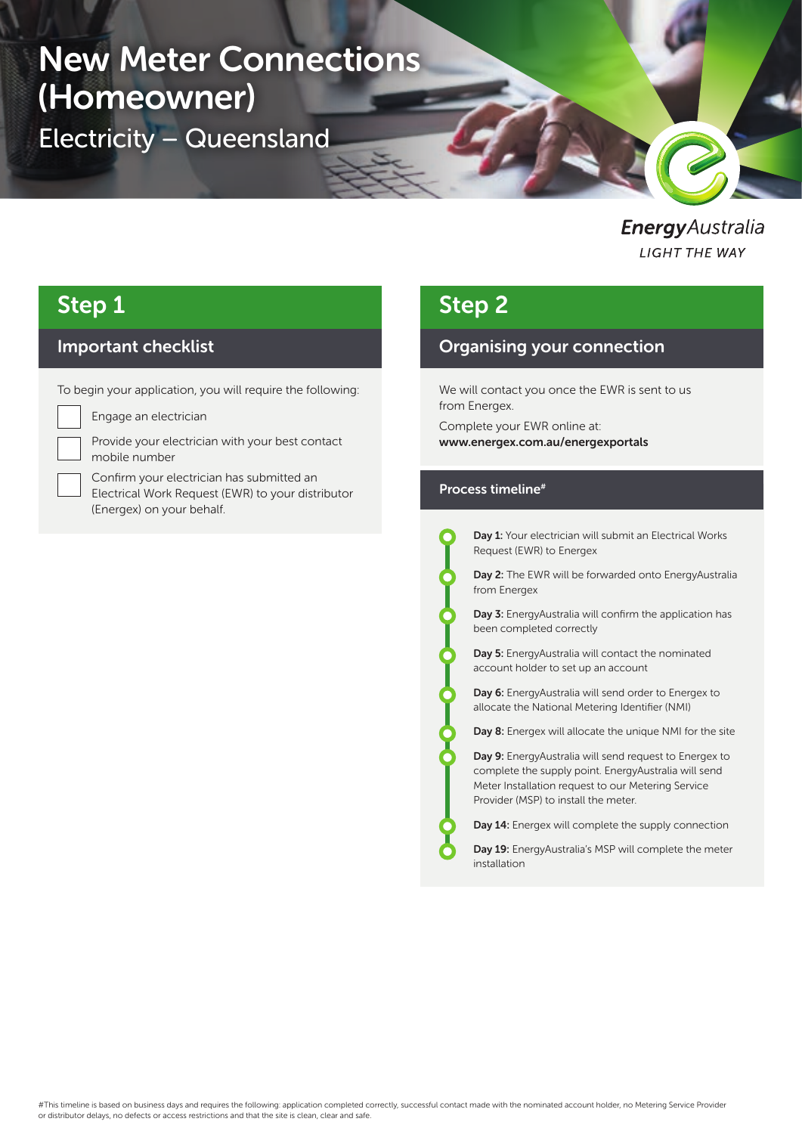# New Meter Connections (Homeowner)

Electricity – Queensland

**Energy** Australia **LIGHT THE WAY** 

# Step 1

### Important checklist

To begin your application, you will require the following:



Engage an electrician

Provide your electrician with your best contact mobile number

Confirm your electrician has submitted an Electrical Work Request (EWR) to your distributor (Energex) on your behalf.

# Step 2

### Organising your connection

We will contact you once the EWR is sent to us from Energex.

Complete your EWR online at: www.energex.com.au/energexportals

#### Process timeline#

Day 1: Your electrician will submit an Electrical Works Request (EWR) to Energex

Day 2: The EWR will be forwarded onto EnergyAustralia from Energex

Day 3: EnergyAustralia will confirm the application has been completed correctly

Day 5: EnergyAustralia will contact the nominated account holder to set up an account

Day 6: EnergyAustralia will send order to Energex to allocate the National Metering Identifier (NMI)

Day 8: Energex will allocate the unique NMI for the site

Day 9: EnergyAustralia will send request to Energex to complete the supply point. EnergyAustralia will send Meter Installation request to our Metering Service Provider (MSP) to install the meter.

Day 14: Energex will complete the supply connection

Day 19: EnergyAustralia's MSP will complete the meter installation